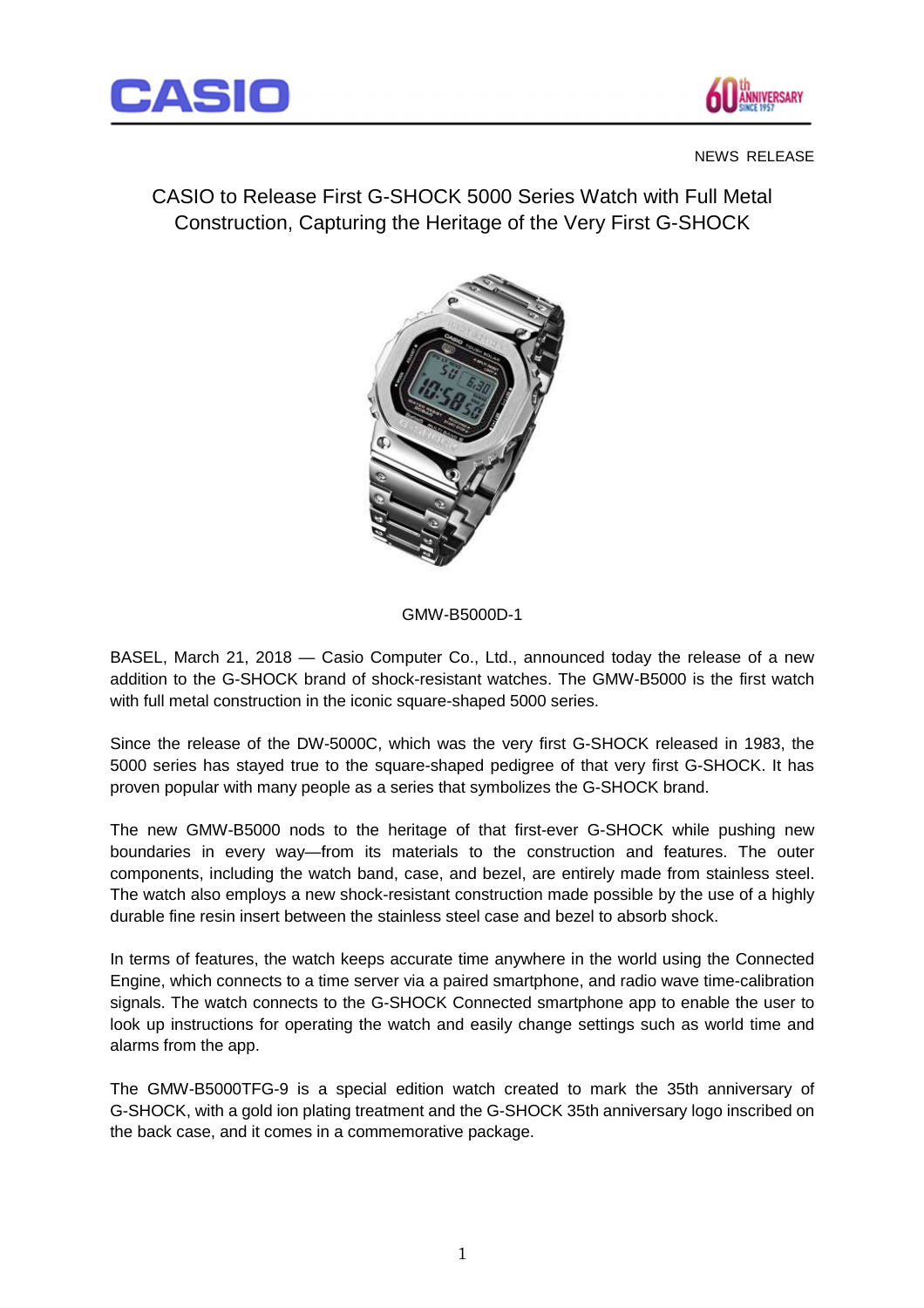



#### NEWS RELEASE

CASIO to Release First G-SHOCK 5000 Series Watch with Full Metal Construction, Capturing the Heritage of the Very First G-SHOCK



## GMW-B5000D-1

BASEL, March 21, 2018 — Casio Computer Co., Ltd., announced today the release of a new addition to the G-SHOCK brand of shock-resistant watches. The GMW-B5000 is the first watch with full metal construction in the iconic square-shaped 5000 series.

Since the release of the DW-5000C, which was the very first G-SHOCK released in 1983, the 5000 series has stayed true to the square-shaped pedigree of that very first G-SHOCK. It has proven popular with many people as a series that symbolizes the G-SHOCK brand.

The new GMW-B5000 nods to the heritage of that first-ever G-SHOCK while pushing new boundaries in every way—from its materials to the construction and features. The outer components, including the watch band, case, and bezel, are entirely made from stainless steel. The watch also employs a new shock-resistant construction made possible by the use of a highly durable fine resin insert between the stainless steel case and bezel to absorb shock.

In terms of features, the watch keeps accurate time anywhere in the world using the Connected Engine, which connects to a time server via a paired smartphone, and radio wave time-calibration signals. The watch connects to the G-SHOCK Connected smartphone app to enable the user to look up instructions for operating the watch and easily change settings such as world time and alarms from the app.

The GMW-B5000TFG-9 is a special edition watch created to mark the 35th anniversary of G-SHOCK, with a gold ion plating treatment and the G-SHOCK 35th anniversary logo inscribed on the back case, and it comes in a commemorative package.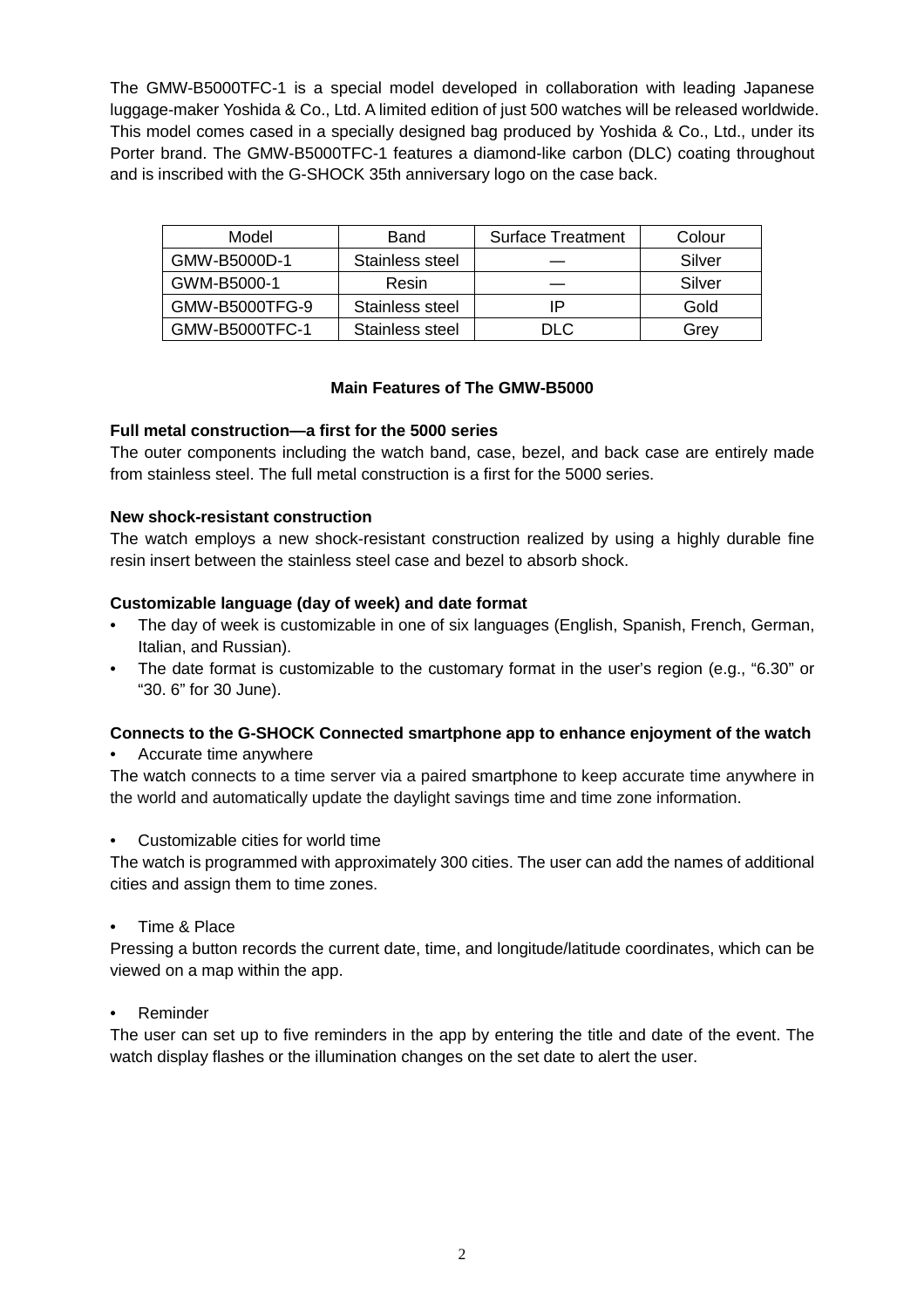The GMW-B5000TFC-1 is a special model developed in collaboration with leading Japanese luggage-maker Yoshida & Co., Ltd. A limited edition of just 500 watches will be released worldwide. This model comes cased in a specially designed bag produced by Yoshida & Co., Ltd., under its Porter brand. The GMW-B5000TFC-1 features a diamond-like carbon (DLC) coating throughout and is inscribed with the G-SHOCK 35th anniversary logo on the case back.

| Model          | Band            | <b>Surface Treatment</b> | Colour |
|----------------|-----------------|--------------------------|--------|
| GMW-B5000D-1   | Stainless steel |                          | Silver |
| GWM-B5000-1    | Resin           |                          | Silver |
| GMW-B5000TFG-9 | Stainless steel |                          | Gold   |
| GMW-B5000TFC-1 | Stainless steel | DI C                     | Grey   |

### **Main Features of The GMW-B5000**

### **Full metal construction—a first for the 5000 series**

The outer components including the watch band, case, bezel, and back case are entirely made from stainless steel. The full metal construction is a first for the 5000 series.

### **New shock-resistant construction**

The watch employs a new shock-resistant construction realized by using a highly durable fine resin insert between the stainless steel case and bezel to absorb shock.

### **Customizable language (day of week) and date format**

- The day of week is customizable in one of six languages (English, Spanish, French, German, Italian, and Russian).
- The date format is customizable to the customary format in the user's region (e.g., "6.30" or "30. 6" for 30 June).

## **Connects to the G-SHOCK Connected smartphone app to enhance enjoyment of the watch**

• Accurate time anywhere

The watch connects to a time server via a paired smartphone to keep accurate time anywhere in the world and automatically update the daylight savings time and time zone information.

• Customizable cities for world time

The watch is programmed with approximately 300 cities. The user can add the names of additional cities and assign them to time zones.

• Time & Place

Pressing a button records the current date, time, and longitude/latitude coordinates, which can be viewed on a map within the app.

**Reminder** 

The user can set up to five reminders in the app by entering the title and date of the event. The watch display flashes or the illumination changes on the set date to alert the user.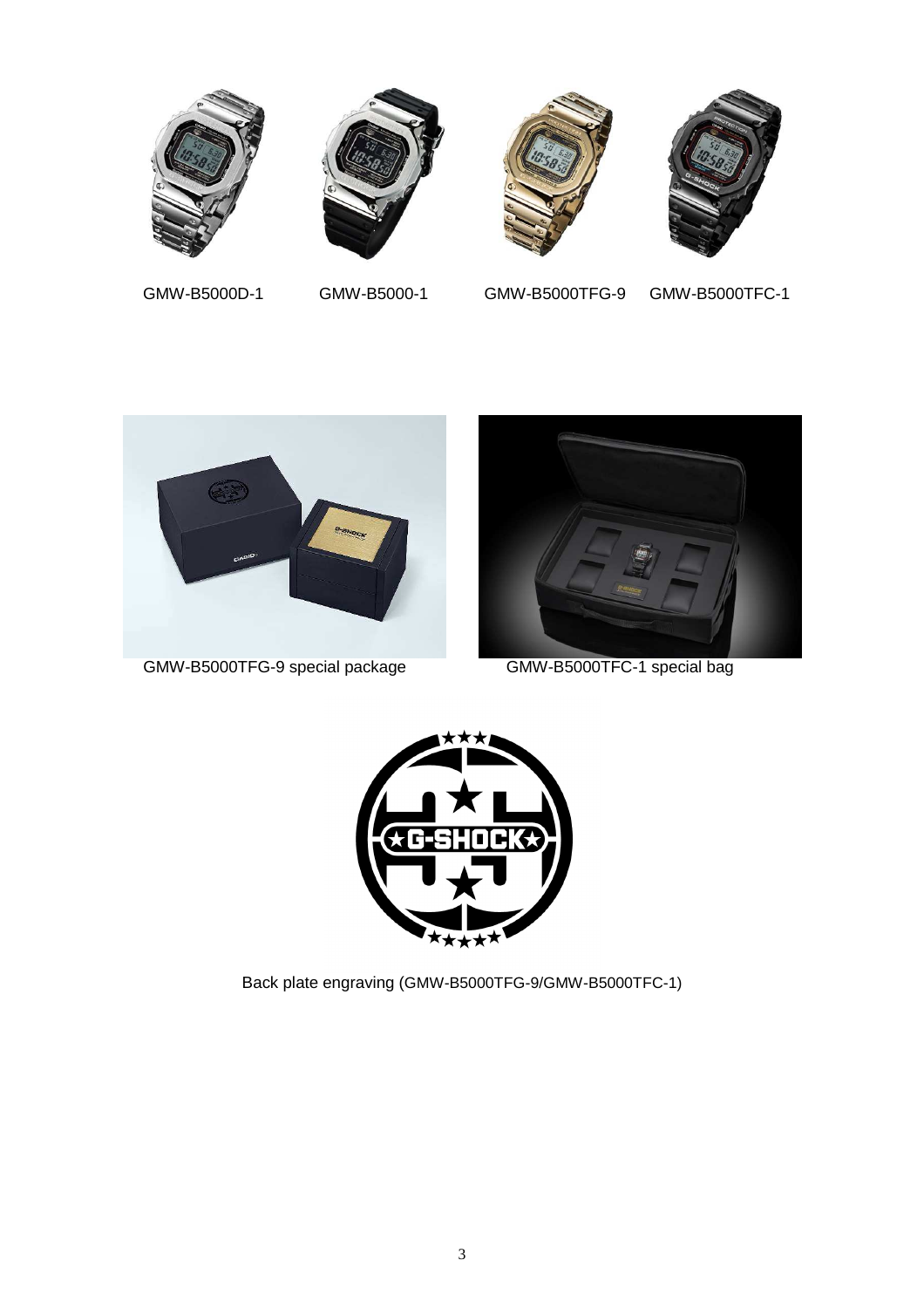







GMW-B5000D-1 GMW-B5000-1 GMW-B5000TFG-9 GMW-B5000TFC-1



GMW-B5000TFG-9 special package GMW-B5000TFC-1 special bag





Back plate engraving (GMW-B5000TFG-9/GMW-B5000TFC-1)